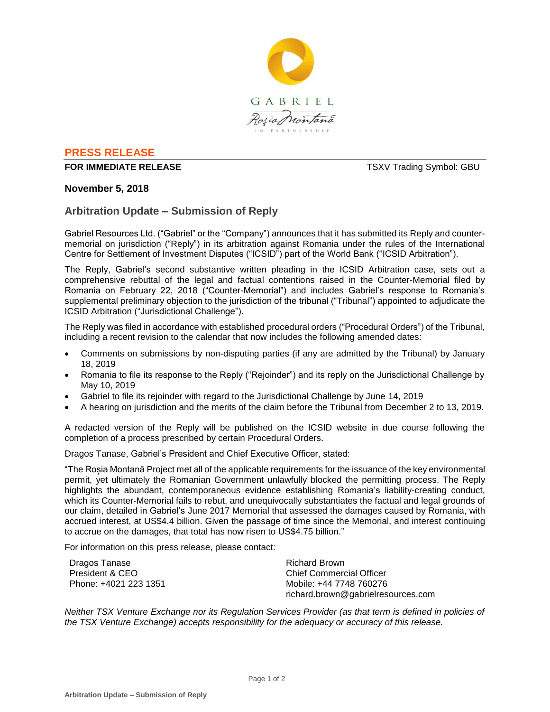

## **PRESS RELEASE**

## **FOR IMMEDIATE RELEASE TSXV Trading Symbol: GBU**

## **November 5, 2018**

# **Arbitration Update – Submission of Reply**

Gabriel Resources Ltd. ("Gabriel" or the "Company") announces that it has submitted its Reply and countermemorial on jurisdiction ("Reply") in its arbitration against Romania under the rules of the International Centre for Settlement of Investment Disputes ("ICSID") part of the World Bank ("ICSID Arbitration").

The Reply, Gabriel's second substantive written pleading in the ICSID Arbitration case, sets out a comprehensive rebuttal of the legal and factual contentions raised in the Counter-Memorial filed by Romania on February 22, 2018 ("Counter-Memorial") and includes Gabriel's response to Romania's supplemental preliminary objection to the jurisdiction of the tribunal ("Tribunal") appointed to adjudicate the ICSID Arbitration ("Jurisdictional Challenge").

The Reply was filed in accordance with established procedural orders ("Procedural Orders") of the Tribunal, including a recent revision to the calendar that now includes the following amended dates:

- Comments on submissions by non-disputing parties (if any are admitted by the Tribunal) by January 18, 2019
- Romania to file its response to the Reply ("Rejoinder") and its reply on the Jurisdictional Challenge by May 10, 2019
- Gabriel to file its rejoinder with regard to the Jurisdictional Challenge by June 14, 2019
- A hearing on jurisdiction and the merits of the claim before the Tribunal from December 2 to 13, 2019.

A redacted version of the Reply will be published on the ICSID website in due course following the completion of a process prescribed by certain Procedural Orders.

Dragos Tanase, Gabriel's President and Chief Executive Officer, stated:

"The Roșia Montană Project met all of the applicable requirements for the issuance of the key environmental permit, yet ultimately the Romanian Government unlawfully blocked the permitting process. The Reply highlights the abundant, contemporaneous evidence establishing Romania's liability-creating conduct, which its Counter-Memorial fails to rebut, and unequivocally substantiates the factual and legal grounds of our claim, detailed in Gabriel's June 2017 Memorial that assessed the damages caused by Romania, with accrued interest, at US\$4.4 billion. Given the passage of time since the Memorial, and interest continuing to accrue on the damages, that total has now risen to US\$4.75 billion."

For information on this press release, please contact:

| Dragos Tanase         | Richard Brown                      |
|-----------------------|------------------------------------|
| President & CEO       | Chief Commercial Officer           |
| Phone: +4021 223 1351 | Mobile: +44 7748 760276            |
|                       | richard.brown@gabrielresources.com |

*Neither TSX Venture Exchange nor its Regulation Services Provider (as that term is defined in policies of the TSX Venture Exchange) accepts responsibility for the adequacy or accuracy of this release.*